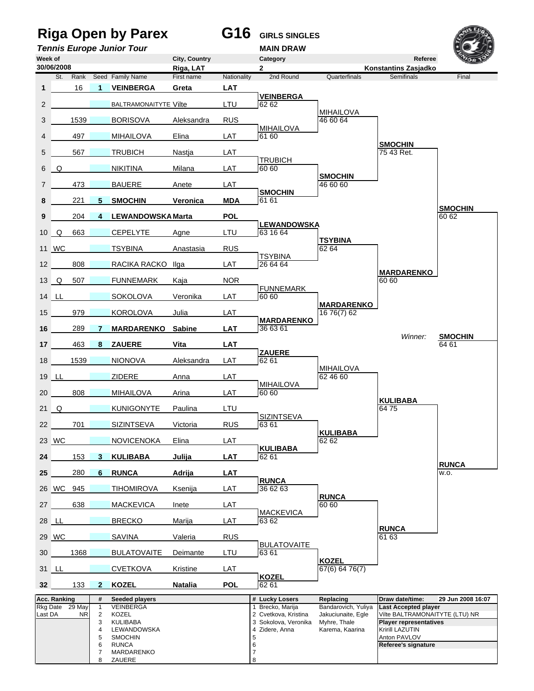## **Riga Open by Parex G16 GIRLS SINGLES**

**Tennis Europe Junior Tour MAIN DRAW** 





8 ZAUERE 8 *8*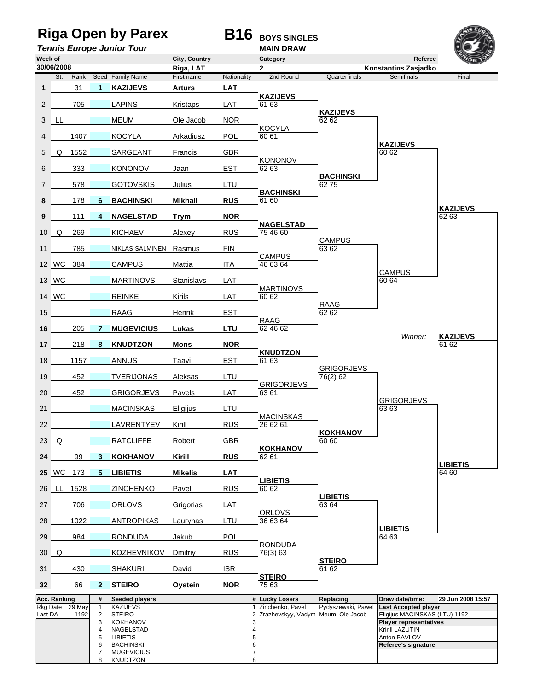## **Riga Open by Parex B16** BOYS SINGLES<br> **B16** BOYS SINGLES



**Tennis Europe Junior Tour** 

| Week of               |              |                |                                                    |                                                                                           | City, Country           |             | Category                                                                       |                                      | Referee                                                                                                                                                 | Von S                    |
|-----------------------|--------------|----------------|----------------------------------------------------|-------------------------------------------------------------------------------------------|-------------------------|-------------|--------------------------------------------------------------------------------|--------------------------------------|---------------------------------------------------------------------------------------------------------------------------------------------------------|--------------------------|
|                       | 30/06/2008   | St. Rank       |                                                    | Seed Family Name                                                                          | Riga, LAT<br>First name | Nationality | $\mathbf{2}$<br>2nd Round                                                      | Quarterfinals                        | <b>Konstantins Zasjadko</b><br>Semifinals                                                                                                               | Final                    |
| 1                     |              | 31             | $\mathbf 1$                                        | <b>KAZIJEVS</b>                                                                           | <b>Arturs</b>           | <b>LAT</b>  |                                                                                |                                      |                                                                                                                                                         |                          |
| $\mathbf{2}^{\prime}$ |              | 705            |                                                    | <b>LAPINS</b>                                                                             | Kristaps                | LAT         | <b>KAZIJEVS</b><br>61 63                                                       |                                      |                                                                                                                                                         |                          |
|                       | 3 LL         |                |                                                    | <b>MEUM</b>                                                                               | Ole Jacob               | <b>NOR</b>  |                                                                                | <b>KAZIJEVS</b><br>62 62             |                                                                                                                                                         |                          |
|                       |              | 1407           |                                                    | <b>KOCYLA</b>                                                                             | Arkadiusz               | <b>POL</b>  | <b>KOCYLA</b><br>60 61                                                         |                                      |                                                                                                                                                         |                          |
| 5                     | Q            | 1552           |                                                    | SARGEANT                                                                                  | Francis                 | <b>GBR</b>  |                                                                                |                                      | <b>KAZIJEVS</b><br>60 62                                                                                                                                |                          |
| 6                     |              | 333            |                                                    | <b>KONONOV</b>                                                                            | Jaan                    | EST         | <b>KONONOV</b><br>62 63                                                        |                                      |                                                                                                                                                         |                          |
| 7                     |              | 578            |                                                    | <b>GOTOVSKIS</b>                                                                          | Julius                  | LTU         |                                                                                | <b>BACHINSKI</b><br>6275             |                                                                                                                                                         |                          |
| 8                     |              | 178            | 6                                                  | <b>BACHINSKI</b>                                                                          | <b>Mikhail</b>          | <b>RUS</b>  | <b>BACHINSKI</b><br>61 60                                                      |                                      |                                                                                                                                                         |                          |
| 9                     |              | 111            | $\overline{4}$                                     | <b>NAGELSTAD</b>                                                                          | Trym                    | <b>NOR</b>  |                                                                                |                                      |                                                                                                                                                         | <b>KAZIJEVS</b><br>62 63 |
|                       | $10 \Omega$  | 269            |                                                    | <b>KICHAEV</b>                                                                            | Alexey                  | <b>RUS</b>  | <b>NAGELSTAD</b><br>75 46 60                                                   |                                      |                                                                                                                                                         |                          |
| 11                    |              | 785            |                                                    | NIKLAS-SALMINEN Rasmus                                                                    |                         | <b>FIN</b>  |                                                                                | <b>CAMPUS</b><br>63 62               |                                                                                                                                                         |                          |
|                       | 12 WC 384    |                |                                                    | <b>CAMPUS</b>                                                                             | Mattia                  | <b>ITA</b>  | <b>CAMPUS</b><br>46 63 64                                                      |                                      |                                                                                                                                                         |                          |
|                       | 13 WC        |                |                                                    | <b>MARTINOVS</b>                                                                          | Stanislavs              | LAT         |                                                                                |                                      | <b>CAMPUS</b><br>60 64                                                                                                                                  |                          |
|                       | 14 WC        |                |                                                    | <b>REINKE</b>                                                                             | Kirils                  | LAT         | <b>MARTINOVS</b><br>60 62                                                      |                                      |                                                                                                                                                         |                          |
| 15                    |              |                |                                                    | RAAG                                                                                      | Henrik                  | <b>EST</b>  |                                                                                | RAAG<br>62 62                        |                                                                                                                                                         |                          |
| 16                    |              | 205            | 7                                                  | <b>MUGEVICIUS</b>                                                                         | Lukas                   | <b>LTU</b>  | <b>RAAG</b><br>62 46 62                                                        |                                      |                                                                                                                                                         |                          |
| 17 <sup>2</sup>       |              | 218            | 8                                                  | <b>KNUDTZON</b>                                                                           | <b>Mons</b>             | <b>NOR</b>  |                                                                                |                                      | Winner:                                                                                                                                                 | <b>KAZIJEVS</b><br>61 62 |
| 18                    |              | 1157           |                                                    | <b>ANNUS</b>                                                                              | Taavi                   | <b>EST</b>  | <b>KNUDTZON</b><br>61 63                                                       |                                      |                                                                                                                                                         |                          |
| 19                    |              | 452            |                                                    | <b>TVERIJONAS</b>                                                                         | Aleksas                 | LTU         |                                                                                | <b>GRIGORJEVS</b><br>76(2) 62        |                                                                                                                                                         |                          |
| 20                    |              | 452            |                                                    | <b>GRIGORJEVS</b>                                                                         | Pavels                  | LAT         | <b>GRIGORJEVS</b><br>63 61                                                     |                                      |                                                                                                                                                         |                          |
| 21                    |              |                |                                                    | <b>MACINSKAS</b>                                                                          | Eligijus                | LTU         |                                                                                |                                      | <b>GRIGORJEVS</b><br>63 63                                                                                                                              |                          |
| 22                    |              |                |                                                    | <b>LAVRENTYEV</b>                                                                         | Kirill                  | <b>RUS</b>  | <b>MACINSKAS</b><br>26 62 61                                                   |                                      |                                                                                                                                                         |                          |
|                       | $23$ Q       |                |                                                    | <b>RATCLIFFE</b>                                                                          | Robert                  | <b>GBR</b>  | <b>KOKHANOV</b>                                                                | <b>KOKHANOV</b><br>$60\overline{60}$ |                                                                                                                                                         |                          |
| 24                    |              | 99             | 3                                                  | <b>KOKHANOV</b>                                                                           | Kirill                  | <b>RUS</b>  | 62 61                                                                          |                                      |                                                                                                                                                         | <b>LIBIETIS</b>          |
|                       | <b>25</b> WC | 173            | $5^{\circ}$                                        | <b>LIBIETIS</b>                                                                           | <b>Mikelis</b>          | <b>LAT</b>  | <b>LIBIETIS</b>                                                                |                                      |                                                                                                                                                         | 64 60                    |
|                       | 26 LL        | 1528           |                                                    | <b>ZINCHENKO</b>                                                                          | Pavel                   | <b>RUS</b>  | 60 62                                                                          | <b>LIBIETIS</b>                      |                                                                                                                                                         |                          |
| 27                    |              | 706            |                                                    | <b>ORLOVS</b>                                                                             | Grigorias               | <b>LAT</b>  | <b>ORLOVS</b>                                                                  | 63 64                                |                                                                                                                                                         |                          |
| 28                    |              | 1022           |                                                    | <b>ANTROPIKAS</b>                                                                         | Laurynas                | LTU         | 36 63 64                                                                       |                                      | <b>LIBIETIS</b>                                                                                                                                         |                          |
| 29                    |              | 984            |                                                    | <b>RONDUDA</b>                                                                            | Jakub                   | POL         | <b>RONDUDA</b>                                                                 |                                      | 64 63                                                                                                                                                   |                          |
|                       | $30\quad Q$  |                |                                                    | <b>KOZHEVNIKOV</b>                                                                        | Dmitriy                 | <b>RUS</b>  | 76(3) 63                                                                       | <b>STEIRO</b>                        |                                                                                                                                                         |                          |
| 31                    |              | 430            |                                                    | <b>SHAKURI</b>                                                                            | David                   | <b>ISR</b>  | <b>STEIRO</b>                                                                  | 61 62                                |                                                                                                                                                         |                          |
| 32 <sub>2</sub>       |              | 66             | $\mathbf{2}$                                       | <b>STEIRO</b>                                                                             | <b>Oystein</b>          | <b>NOR</b>  | 75 63                                                                          |                                      |                                                                                                                                                         |                          |
|                       | Acc. Ranking |                | #                                                  | <b>Seeded players</b>                                                                     |                         |             | # Lucky Losers                                                                 | Replacing                            | Draw date/time:                                                                                                                                         | 29 Jun 2008 15:57        |
| Rkg Date<br>Last DA   |              | 29 May<br>1192 | $\mathbf{1}$<br>$\overline{2}$<br>3<br>4<br>5<br>6 | KAZIJEVS<br>STEIRO<br><b>KOKHANOV</b><br>NAGELSTAD<br><b>LIBIETIS</b><br><b>BACHINSKI</b> |                         |             | 1 Zinchenko, Pavel<br>2 Zrazhevskyy, Vadym Meum, Ole Jacob<br>3<br>4<br>5<br>6 | Pydyszewski, Pawel                   | <b>Last Accepted player</b><br>Eligijus MACINSKAS (LTU) 1192<br><b>Player representatives</b><br>Kririll LAZUTIN<br>Anton PAVLOV<br>Referee's signature |                          |
|                       |              |                | 7<br>8                                             | <b>MUGEVICIUS</b><br>KNUDTZON                                                             |                         |             | 7<br>8                                                                         |                                      |                                                                                                                                                         |                          |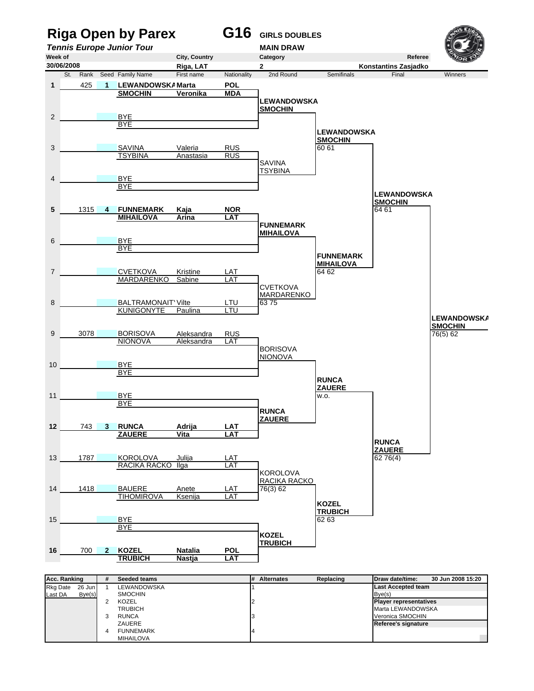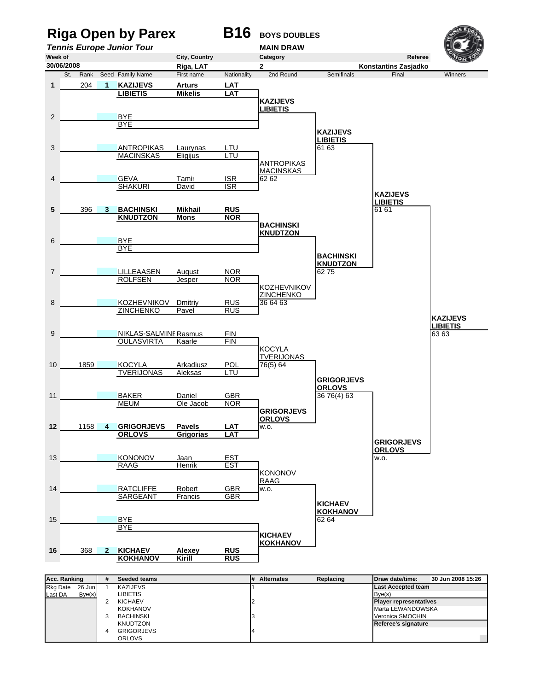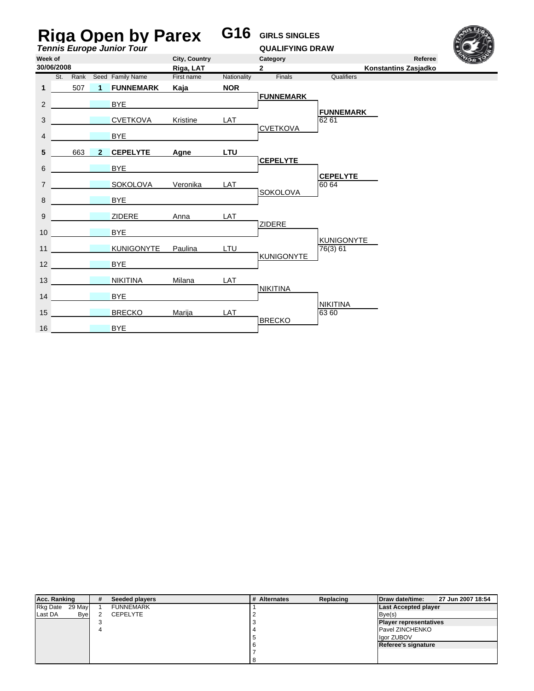| <b>Riga Open by Parex</b><br><b>Tennis Europe Junior Tour</b> |  |          |                |                   |            | G16         | <b>GIRLS SINGLES</b><br><b>QUALIFYING DRAW</b> |                           |  |  |
|---------------------------------------------------------------|--|----------|----------------|-------------------|------------|-------------|------------------------------------------------|---------------------------|--|--|
| City, Country<br>Week of                                      |  |          |                |                   |            |             | Category                                       | Referee                   |  |  |
| 30/06/2008<br>Riga, LAT                                       |  |          |                |                   |            |             | $\overline{2}$<br>Konstantins Zasjadko         |                           |  |  |
|                                                               |  | St. Rank |                | Seed Family Name  | First name | Nationality | Finals                                         | Qualifiers                |  |  |
| 1                                                             |  | 507      | 1              | <b>FUNNEMARK</b>  | Kaja       | <b>NOR</b>  |                                                |                           |  |  |
| $\overline{2}$                                                |  |          |                | <b>BYE</b>        |            |             | <b>FUNNEMARK</b>                               |                           |  |  |
| 3                                                             |  |          |                | <b>CVETKOVA</b>   | Kristine   | LAT         |                                                | <b>FUNNEMARK</b><br>62 61 |  |  |
| 4                                                             |  |          |                | <b>BYE</b>        |            |             | <b>CVETKOVA</b>                                |                           |  |  |
| 5                                                             |  | 663      | $\overline{2}$ | <b>CEPELYTE</b>   | Agne       | <b>LTU</b>  |                                                |                           |  |  |
| 6                                                             |  |          |                | <b>BYE</b>        |            |             | <b>CEPELYTE</b>                                | <b>CEPELYTE</b>           |  |  |
| $\overline{7}$                                                |  |          |                | <b>SOKOLOVA</b>   | Veronika   | LAT         |                                                | 60 64                     |  |  |
| 8                                                             |  |          |                | <b>BYE</b>        |            |             | <b>SOKOLOVA</b>                                |                           |  |  |
| 9                                                             |  |          |                | <b>ZIDERE</b>     | Anna       | LAT         |                                                |                           |  |  |
| 10                                                            |  |          |                | <b>BYE</b>        |            |             | <b>ZIDERE</b>                                  | <b>KUNIGONYTE</b>         |  |  |
| 11                                                            |  |          |                | <b>KUNIGONYTE</b> | Paulina    | LTU         |                                                | 76(3) 61                  |  |  |
| 12                                                            |  |          |                | <b>BYE</b>        |            |             | <b>KUNIGONYTE</b>                              |                           |  |  |
| 13                                                            |  |          |                | <b>NIKITINA</b>   | Milana     | LAT         |                                                |                           |  |  |
| 14                                                            |  |          |                | <b>BYE</b>        |            |             | <b>NIKITINA</b>                                |                           |  |  |
| 15                                                            |  |          |                | <b>BRECKO</b>     | Marija     | <b>LAT</b>  |                                                | <b>NIKITINA</b><br>63 60  |  |  |
| 16                                                            |  |          |                | <b>BYE</b>        |            |             | <b>BRECKO</b>                                  |                           |  |  |

| Acc. Ranking              | #                              | Seeded players   | # Alternates | Replacing | Draw date/time:               | 27 Jun 2007 18:54 |
|---------------------------|--------------------------------|------------------|--------------|-----------|-------------------------------|-------------------|
| <b>Rkg Date</b><br>29 May |                                | <b>FUNNEMARK</b> |              |           | <b>Last Accepted player</b>   |                   |
| Last DA                   | <b>B</b> ve<br><b>CEPELYTE</b> |                  |              |           | Bve(s)                        |                   |
|                           |                                |                  |              |           | <b>Player representatives</b> |                   |
|                           |                                |                  |              |           | <b>Pavel ZINCHENKO</b>        |                   |
|                           |                                |                  |              |           | lgor ZUBOV                    |                   |
|                           |                                |                  |              |           | Referee's signature           |                   |
|                           |                                |                  |              |           |                               |                   |
|                           |                                |                  |              |           |                               |                   |